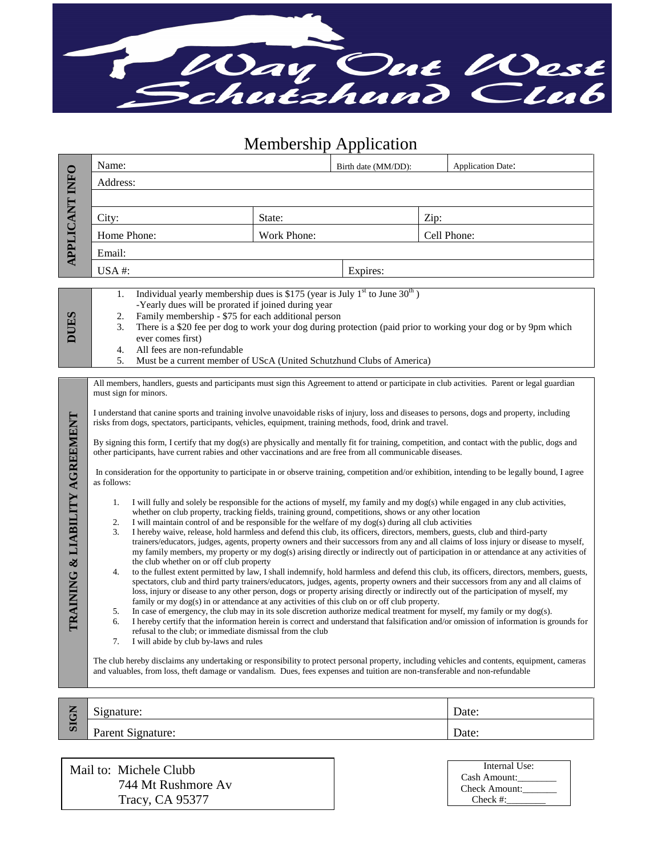

Membership Application

| <b>APPLICANT INFO</b>          | Name:                                                                                                                                                                                                                                                                                  |  | Birth date (MM/DD): |      | <b>Application Date:</b> |  |
|--------------------------------|----------------------------------------------------------------------------------------------------------------------------------------------------------------------------------------------------------------------------------------------------------------------------------------|--|---------------------|------|--------------------------|--|
|                                | Address:                                                                                                                                                                                                                                                                               |  |                     |      |                          |  |
|                                |                                                                                                                                                                                                                                                                                        |  |                     |      |                          |  |
|                                | City:<br>State:                                                                                                                                                                                                                                                                        |  |                     | Zip: |                          |  |
|                                | Home Phone:<br><b>Work Phone:</b>                                                                                                                                                                                                                                                      |  |                     |      | Cell Phone:              |  |
|                                | Email:                                                                                                                                                                                                                                                                                 |  |                     |      |                          |  |
|                                | USA#:                                                                                                                                                                                                                                                                                  |  | Expires:            |      |                          |  |
|                                | Individual yearly membership dues is \$175 (year is July $1st$ to June 30 <sup>th</sup> )                                                                                                                                                                                              |  |                     |      |                          |  |
|                                | 1.<br>-Yearly dues will be prorated if joined during year                                                                                                                                                                                                                              |  |                     |      |                          |  |
| DUES                           | Family membership - \$75 for each additional person<br>2.<br>There is a \$20 fee per dog to work your dog during protection (paid prior to working your dog or by 9pm which<br>3.                                                                                                      |  |                     |      |                          |  |
|                                | ever comes first)                                                                                                                                                                                                                                                                      |  |                     |      |                          |  |
|                                | All fees are non-refundable<br>4.<br>5.                                                                                                                                                                                                                                                |  |                     |      |                          |  |
|                                | Must be a current member of UScA (United Schutzhund Clubs of America)                                                                                                                                                                                                                  |  |                     |      |                          |  |
|                                | All members, handlers, guests and participants must sign this Agreement to attend or participate in club activities. Parent or legal guardian<br>must sign for minors.                                                                                                                 |  |                     |      |                          |  |
|                                | I understand that canine sports and training involve unavoidable risks of injury, loss and diseases to persons, dogs and property, including                                                                                                                                           |  |                     |      |                          |  |
|                                | risks from dogs, spectators, participants, vehicles, equipment, training methods, food, drink and travel.                                                                                                                                                                              |  |                     |      |                          |  |
|                                | By signing this form, I certify that my dog(s) are physically and mentally fit for training, competition, and contact with the public, dogs and                                                                                                                                        |  |                     |      |                          |  |
|                                | other participants, have current rabies and other vaccinations and are free from all communicable diseases.                                                                                                                                                                            |  |                     |      |                          |  |
|                                | In consideration for the opportunity to participate in or observe training, competition and/or exhibition, intending to be legally bound, I agree<br>as follows:                                                                                                                       |  |                     |      |                          |  |
|                                |                                                                                                                                                                                                                                                                                        |  |                     |      |                          |  |
|                                | I will fully and solely be responsible for the actions of myself, my family and my dog(s) while engaged in any club activities,<br>1.<br>whether on club property, tracking fields, training ground, competitions, shows or any other location                                         |  |                     |      |                          |  |
|                                | I will maintain control of and be responsible for the welfare of my dog(s) during all club activities<br>2.<br>I hereby waive, release, hold harmless and defend this club, its officers, directors, members, guests, club and third-party<br>3.                                       |  |                     |      |                          |  |
| TRAINING & LIABILITY AGREEMENT | trainers/educators, judges, agents, property owners and their successors from any and all claims of loss injury or disease to myself,                                                                                                                                                  |  |                     |      |                          |  |
|                                | my family members, my property or my dog(s) arising directly or indirectly out of participation in or attendance at any activities of<br>the club whether on or off club property                                                                                                      |  |                     |      |                          |  |
|                                | to the fullest extent permitted by law, I shall indemnify, hold harmless and defend this club, its officers, directors, members, guests,<br>4.<br>spectators, club and third party trainers/educators, judges, agents, property owners and their successors from any and all claims of |  |                     |      |                          |  |
|                                | loss, injury or disease to any other person, dogs or property arising directly or indirectly out of the participation of myself, my<br>family or my dog(s) in or attendance at any activities of this club on or off club property.                                                    |  |                     |      |                          |  |
|                                | In case of emergency, the club may in its sole discretion authorize medical treatment for myself, my family or my dog(s).<br>5.                                                                                                                                                        |  |                     |      |                          |  |
|                                | I hereby certify that the information herein is correct and understand that falsification and/or omission of information is grounds for<br>6.<br>refusal to the club; or immediate dismissal from the club                                                                             |  |                     |      |                          |  |
|                                | I will abide by club by-laws and rules                                                                                                                                                                                                                                                 |  |                     |      |                          |  |
|                                | The club hereby disclaims any undertaking or responsibility to protect personal property, including vehicles and contents, equipment, cameras                                                                                                                                          |  |                     |      |                          |  |
|                                | and valuables, from loss, theft damage or vandalism. Dues, fees expenses and tuition are non-transferable and non-refundable                                                                                                                                                           |  |                     |      |                          |  |
|                                |                                                                                                                                                                                                                                                                                        |  |                     |      |                          |  |
| <b>SIGN</b>                    | Signature:                                                                                                                                                                                                                                                                             |  |                     |      | Date:                    |  |
|                                | Parent Signature:                                                                                                                                                                                                                                                                      |  |                     |      | Date:                    |  |

Mail to: Michele Clubb 744 Mt Rushmore Av Tracy, CA 95377

| Internal Use: |  |  |
|---------------|--|--|
| Cash Amount:  |  |  |
| Check Amount: |  |  |
| $Check \#:$   |  |  |